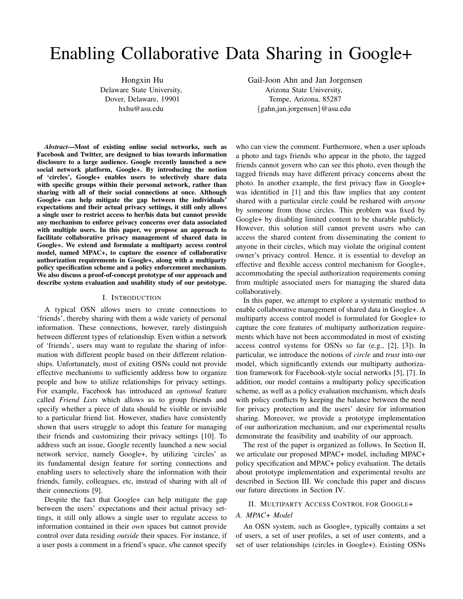# Enabling Collaborative Data Sharing in Google+

Hongxin Hu Delaware State University, Dover, Delaware, 19901 hxhu@asu.edu

Gail-Joon Ahn and Jan Jorgensen Arizona State University, Tempe, Arizona, 85287 *{*gahn,jan.jorgensen*}*@asu.edu

*Abstract*—Most of existing online social networks, such as Facebook and Twitter, are designed to bias towards information disclosure to a large audience. Google recently launched a new social network platform, Google+. By introducing the notion of 'circles', Google+ enables users to selectively share data with specific groups within their personal network, rather than sharing with all of their social connections at once. Although Google+ can help mitigate the gap between the individuals' expectations and their actual privacy settings, it still only allows a single user to restrict access to her/his data but cannot provide any mechanism to enforce privacy concerns over data associated with multiple users. In this paper, we propose an approach to facilitate collaborative privacy management of shared data in Google+. We extend and formulate a multiparty access control model, named MPAC+, to capture the essence of collaborative authorization requirements in Google+, along with a multiparty policy specification scheme and a policy enforcement mechanism. We also discuss a proof-of-concept prototype of our approach and describe system evaluation and usability study of our prototype.

#### I. INTRODUCTION

A typical OSN allows users to create connections to 'friends', thereby sharing with them a wide variety of personal information. These connections, however, rarely distinguish between different types of relationship. Even within a network of 'friends', users may want to regulate the sharing of information with different people based on their different relationships. Unfortunately, most of exiting OSNs could not provide effective mechanisms to sufficiently address how to organize people and how to utilize relationships for privacy settings. For example, Facebook has introduced an *optional* feature called *Friend Lists* which allows us to group friends and specify whether a piece of data should be visible or invisible to a particular friend list. However, studies have consistently shown that users struggle to adopt this feature for managing their friends and customizing their privacy settings [10]. To address such an issue, Google recently launched a new social network service, namely Google+, by utilizing 'circles' as its fundamental design feature for sorting connections and enabling users to selectively share the information with their friends, family, colleagues, etc, instead of sharing with all of their connections [9].

Despite the fact that Google+ can help mitigate the gap between the users' expectations and their actual privacy settings, it still only allows a single user to regulate access to information contained in their *own* spaces but cannot provide control over data residing *outside* their spaces. For instance, if a user posts a comment in a friend's space, s/he cannot specify

who can view the comment. Furthermore, when a user uploads a photo and tags friends who appear in the photo, the tagged friends cannot govern who can see this photo, even though the tagged friends may have different privacy concerns about the photo. In another example, the first privacy flaw in Google+ was identified in [1] and this flaw implies that any content shared with a particular circle could be reshared with *anyone* by someone from those circles. This problem was fixed by Google+ by disabling limited content to be sharable publicly. However, this solution still cannot prevent users who can access the shared content from disseminating the content to anyone in their circles, which may violate the original content owner's privacy control. Hence, it is essential to develop an effective and flexible access control mechanism for Google+, accommodating the special authorization requirements coming from multiple associated users for managing the shared data collaboratively.

In this paper, we attempt to explore a systematic method to enable collaborative management of shared data in Google+. A multiparty access control model is formulated for Google+ to capture the core features of multiparty authorization requirements which have not been accommodated in most of existing access control systems for OSNs so far (e.g., [2], [3]). In particular, we introduce the notions of *circle* and *trust* into our model, which significantly extends our multiparty authorization framework for Facebook-style social networks [5], [7]. In addition, our model contains a multiparty policy specification scheme, as well as a policy evaluation mechanism, which deals with policy conflicts by keeping the balance between the need for privacy protection and the users' desire for information sharing. Moreover, we provide a prototype implementation of our authorization mechanism, and our experimental results demonstrate the feasibility and usability of our approach.

The rest of the paper is organized as follows. In Section II, we articulate our proposed MPAC+ model, including MPAC+ policy specification and MPAC+ policy evaluation. The details about prototype implementation and experimental results are described in Section III. We conclude this paper and discuss our future directions in Section IV.

# II. MULTIPARTY ACCESS CONTROL FOR GOOGLE+

# *A. MPAC+ Model*

An OSN system, such as Google+, typically contains a set of users, a set of user profiles, a set of user contents, and a set of user relationships (circles in Google+). Existing OSNs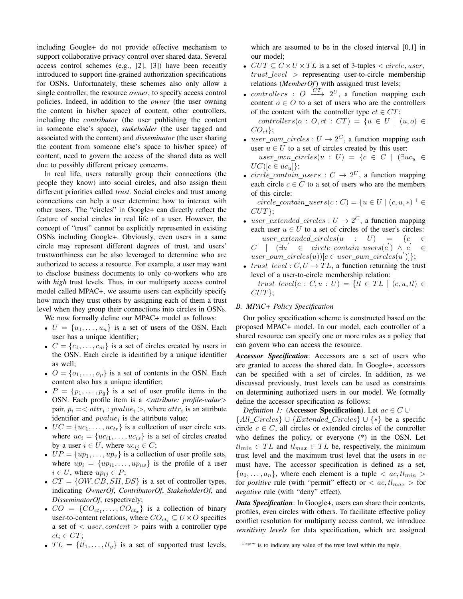including Google+ do not provide effective mechanism to support collaborative privacy control over shared data. Several access control schemes (e.g., [2], [3]) have been recently introduced to support fine-grained authorization specifications for OSNs. Unfortunately, these schemes also only allow a single controller, the resource *owner*, to specify access control policies. Indeed, in addition to the *owner* (the user owning the content in his/her space) of content, other controllers, including the *contributor* (the user publishing the content in someone else's space), *stakeholder* (the user tagged and associated with the content) and *disseminator* (the user sharing the content from someone else's space to his/her space) of content, need to govern the access of the shared data as well due to possibly different privacy concerns.

In real life, users naturally group their connections (the people they know) into social circles, and also assign them different priorities called *trust*. Social circles and trust among connections can help a user determine how to interact with other users. The "circles" in Google+ can directly reflect the feature of social circles in real life of a user. However, the concept of "trust" cannot be explicitly represented in existing OSNs including Google+. Obviously, even users in a same circle may represent different degrees of trust, and users' trustworthiness can be also leveraged to determine who are authorized to access a resource. For example, a user may want to disclose business documents to only co-workers who are with *high* trust levels. Thus, in our multiparty access control model called MPAC+, we assume users can explicitly specify how much they trust others by assigning each of them a trust level when they group their connections into circles in OSNs.

We now formally define our MPAC+ model as follows:

- $U = \{u_1, \ldots, u_n\}$  is a set of users of the OSN. Each user has a unique identifier;
- $C = \{c_1, \ldots, c_m\}$  is a set of circles created by users in the OSN. Each circle is identified by a unique identifier as well;
- $O = \{o_1, \ldots, o_p\}$  is a set of contents in the OSN. Each content also has a unique identifier;
- $P = \{p_1, \ldots, p_q\}$  is a set of user profile items in the OSN. Each profile item is a *<attribute: profile-value>* pair,  $p_i = \langle \text{attr}_i : \text{pvalue}_i \rangle$ , where  $\text{attr}_i$  is an attribute identifier and  $pvalue_i$  is the attribute value;
- $UC = \{uc_1, \ldots, uc_{tr}\}$  is a collection of user circle sets, where  $uc_i = \{uc_{i1}, \ldots, uc_{is}\}$  is a set of circles created by a user  $i \in U$ , where  $uc_{ij} \in C$ ;
- $UP = \{up_1, \ldots, up_v\}$  is a collection of user profile sets, where  $up_i = \{up_{i1}, \ldots, up_{iw}\}\$ is the profile of a user  $i \in U$ , where  $up_{ij} \in P$ ;
- $CT = \{OW, CB, SH, DS\}$  is a set of controller types, indicating *OwnerOf*, *ContributorOf*, *StakeholderOf*, and *DisseminatorOf*, respectively;
- $CO = \{CO_{ct_1}, \ldots, CO_{ct_x}\}\$ is a collection of binary user-to-content relations, where  $CO_{ct_i} \subseteq U \times O$  specifies a set of *< user, content >* pairs with a controller type  $ct_i \in CT;$
- $TL = \{tl_1, \ldots, tl_v\}$  is a set of supported trust levels,

which are assumed to be in the closed interval [0,1] in our model;

- $CUT \subseteq C \times U \times TL$  is a set of 3-tuples  $\lt$  *circle, user, trust level >* representing user-to-circle membership relations (*MemberOf*) with assigned trust levels;
- *controllers* :  $O \xrightarrow{CT} 2^U$ , a function mapping each content  $o \in O$  to a set of users who are the controllers of the content with the controller type  $ct \in CT$ :

*controllers*( $o : O, ct : CT$ ) = { $u ∈ U | (u, o) ∈$ *COct}*;

- $user\_own\_circles: U \rightarrow 2^C$ , a function mapping each user  $u \in U$  to a set of circles created by this user:  $user\_own\_circles(u : U) = \{c \in C \mid (\exists uc_u \in$  $UC$ <sup>[</sup> $c \in uc_u$ ]<sup>}</sup>;
- $circle\_contain\_users : C \rightarrow 2^U$ , a function mapping each circle  $c \in C$  to a set of users who are the members of this circle:

 $circle\_contain\_users(c:C) = \{u \in U \mid (c, u, \ast) \}$ <sup>1</sup>  $\in$ *CUT}*;

- $user\_extended\_circles: U \rightarrow 2^C$ , a function mapping each user  $u \in U$  to a set of circles of the user's circles:  $user\_extended\_circles(u : U) = \{c \in$  $C$  |  $(\exists u' \in circle\_contain\_users(c') \land c')$ *∈*  $user\_own\_circles(u))[c \in user\_own\_circles(u')]\};$
- *trust\_level* :  $C, U \rightarrow TL$ , a function returning the trust level of a user-to-circle membership relation:

 $trust\_level(c : C, u : U) = \{tl \in TL \mid (c, u, tl) \in$ *CUT}*;

# *B. MPAC+ Policy Specification*

Our policy specification scheme is constructed based on the proposed MPAC+ model. In our model, each controller of a shared resource can specify one or more rules as a policy that can govern who can access the resource.

*Accessor Specification*: Accessors are a set of users who are granted to access the shared data. In Google+, accessors can be specified with a set of circles. In addition, as we discussed previously, trust levels can be used as constraints on determining authorized users in our model. We formally define the accessor specification as follows:

*Definition 1:* (Accessor Specification). Let  $ac \in C \cup$ 

*{All Circles} ∪ {Extended Circles} ∪ {∗}* be a specific circle  $c \in C$ , all circles or extended circles of the controller who defines the policy, or everyone (\*) in the OSN. Let  $tl_{min} \in TL$  and  $tl_{max} \in TL$  be, respectively, the minimum trust level and the maximum trust level that the users in *ac* must have. The accessor specification is defined as a set,  ${a_1, \ldots, a_n}$ , where each element is a tuple  $\langle ac, tl_{min} \rangle$ for *positive* rule (with "permit" effect) or  $\langle ac, tl_{max} \rangle$  for *negative* rule (with "deny" effect).

*Data Specification*: In Google+, users can share their contents, profiles, even circles with others. To facilitate effective policy conflict resolution for multiparty access control, we introduce *sensitivity levels* for data specification, which are assigned

<sup>1&</sup>quot;\*"" is to indicate any value of the trust level within the tuple.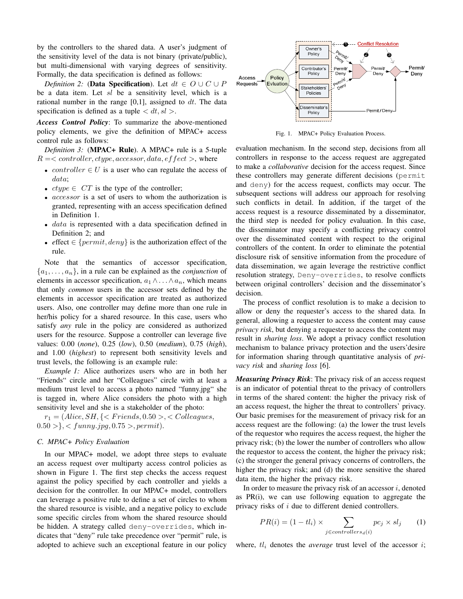by the controllers to the shared data. A user's judgment of the sensitivity level of the data is not binary (private/public), but multi-dimensional with varying degrees of sensitivity. Formally, the data specification is defined as follows:

*Definition 2:* (Data Specification). Let  $dt \in O \cup C \cup P$ be a data item. Let *sl* be a sensitivity level, which is a rational number in the range [0,1], assigned to *dt*. The data specification is defined as a tuple  $\langle dt, sl \rangle$ .

*Access Control Policy*: To summarize the above-mentioned policy elements, we give the definition of MPAC+ access control rule as follows:

*Definition 3:* (MPAC+ Rule). A MPAC+ rule is a 5-tuple  $R = \langle controller, dtype, accessor, data, effect \rangle$ , where

- *controller*  $\in U$  is a user who can regulate the access of *data*;
- *• ctype ∈ CT* is the type of the controller;
- *• accessor* is a set of users to whom the authorization is granted, representing with an access specification defined in Definition 1.
- *data* is represented with a data specification defined in Definition 2; and
- *• e*ffect *∈ {permit, deny}* is the authorization effect of the rule.

Note that the semantics of accessor specification,  ${a_1, \ldots, a_n}$ , in a rule can be explained as the *conjunction* of elements in accessor specification,  $a_1 \wedge \ldots \wedge a_n$ , which means that only *common* users in the accessor sets defined by the elements in accessor specification are treated as authorized users. Also, one controller may define more than one rule in her/his policy for a shared resource. In this case, users who satisfy *any* rule in the policy are considered as authorized users for the resource. Suppose a controller can leverage five values: 0.00 (*none*), 0.25 (*low*), 0.50 (*medium*), 0.75 (*high*), and 1.00 (*highest*) to represent both sensitivity levels and trust levels, the following is an example rule:

*Example 1:* Alice authorizes users who are in both her "Friends" circle and her "Colleagues" circle with at least a medium trust level to access a photo named "funny.jpg" she is tagged in, where Alice considers the photo with a high sensitivity level and she is a stakeholder of the photo:

 $r_1 = (Alice, SH, \{& Friends, 0.50 >, < College,$ 0*.*50 *>}, < funny.jpg,* 0*.*75 *>, permit*).

### *C. MPAC+ Policy Evaluation*

In our MPAC+ model, we adopt three steps to evaluate an access request over multiparty access control policies as shown in Figure 1. The first step checks the access request against the policy specified by each controller and yields a decision for the controller. In our MPAC+ model, controllers can leverage a positive rule to define a set of circles to whom the shared resource is visible, and a negative policy to exclude some specific circles from whom the shared resource should be hidden. A strategy called deny-overrides, which indicates that "deny" rule take precedence over "permit" rule, is adopted to achieve such an exceptional feature in our policy



Fig. 1. MPAC+ Policy Evaluation Process.

evaluation mechanism. In the second step, decisions from all controllers in response to the access request are aggregated to make a *collaborative* decision for the access request. Since these controllers may generate different decisions (permit and deny) for the access request, conflicts may occur. The subsequent sections will address our approach for resolving such conflicts in detail. In addition, if the target of the access request is a resource disseminated by a disseminator, the third step is needed for policy evaluation. In this case, the disseminator may specify a conflicting privacy control over the disseminated content with respect to the original controllers of the content. In order to eliminate the potential disclosure risk of sensitive information from the procedure of data dissemination, we again leverage the restrictive conflict resolution strategy, Deny-overrides, to resolve conflicts between original controllers' decision and the disseminator's decision.

The process of conflict resolution is to make a decision to allow or deny the requester's access to the shared data. In general, allowing a requester to access the content may cause *privacy risk*, but denying a requester to access the content may result in *sharing loss*. We adopt a privacy conflict resolution mechanism to balance privacy protection and the users'desire for information sharing through quantitative analysis of *privacy risk* and *sharing loss* [6].

*Measuring Privacy Risk*: The privacy risk of an access request is an indicator of potential threat to the privacy of controllers in terms of the shared content: the higher the privacy risk of an access request, the higher the threat to controllers' privacy. Our basic premises for the measurement of privacy risk for an access request are the following: (a) the lower the trust levels of the requestor who requires the access request, the higher the privacy risk; (b) the lower the number of controllers who allow the requestor to access the content, the higher the privacy risk; (c) the stronger the general privacy concerns of controllers, the higher the privacy risk; and (d) the more sensitive the shared data item, the higher the privacy risk.

In order to measure the privacy risk of an accessor *i*, denoted as PR(i), we can use following equation to aggregate the privacy risks of *i* due to different denied controllers.

$$
PR(i) = (1 - tl_i) \times \sum_{j \in controllers_d(i)} pc_j \times sl_j \qquad (1)
$$

where, *tl<sup>i</sup>* denotes the *average* trust level of the accessor *i*;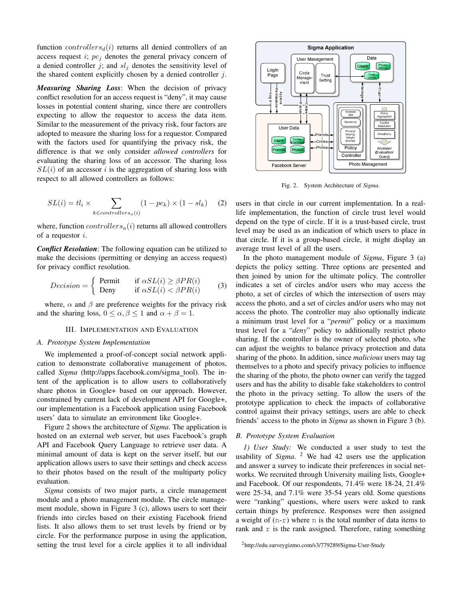function *controllers* $d(i)$  returns all denied controllers of an access request *i*; *pc<sup>j</sup>* denotes the general privacy concern of a denied controller  $j$ ; and  $sl_j$  denotes the sensitivity level of the shared content explicitly chosen by a denied controller *j*.

*Measuring Sharing Loss*: When the decision of privacy conflict resolution for an access request is "deny", it may cause losses in potential content sharing, since there are controllers expecting to allow the requestor to access the data item. Similar to the measurement of the privacy risk, four factors are adopted to measure the sharing loss for a requestor. Compared with the factors used for quantifying the privacy risk, the difference is that we only consider *allowed controllers* for evaluating the sharing loss of an accessor. The sharing loss  $SL(i)$  of an accessor *i* is the aggregation of sharing loss with respect to all allowed controllers as follows:

$$
SL(i) = tl_i \times \sum_{k \in controls(s)} (1 - pc_k) \times (1 - sl_k)
$$
 (2)

where, function *controllersa*(*i*) returns all allowed controllers of a requestor *i*.

*Conflict Resolution*: The following equation can be utilized to make the decisions (permitting or denying an access request) for privacy conflict resolution.

$$
Decision = \begin{cases} \n\text{Permit} & \text{if } \alpha SL(i) \ge \beta PR(i) \\ \n\text{Deny} & \text{if } \alpha SL(i) < \beta PR(i) \n\end{cases} \tag{3}
$$

where,  $\alpha$  and  $\beta$  are preference weights for the privacy risk and the sharing loss,  $0 \le \alpha, \beta \le 1$  and  $\alpha + \beta = 1$ .

#### III. IMPLEMENTATION AND EVALUATION

#### *A. Prototype System Implementation*

We implemented a proof-of-concept social network application to demonstrate collaborative management of photos, called *Sigma* (http://apps.facebook.com/sigma\_tool). The intent of the application is to allow users to collaboratively share photos in Google+ based on our approach. However, constrained by current lack of development API for Google+, our implementation is a Facebook application using Facebook users' data to simulate an environment like Google+.

Figure 2 shows the architecture of *Sigma*. The application is hosted on an external web server, but uses Facebook's graph API and Facebook Query Language to retrieve user data. A minimal amount of data is kept on the server itself, but our application allows users to save their settings and check access to their photos based on the result of the multiparty policy evaluation.

*Sigma* consists of two major parts, a circle management module and a photo management module. The circle management module, shown in Figure 3 (c), allows users to sort their friends into circles based on their existing Facebook friend lists. It also allows them to set trust levels by friend or by circle. For the performance purpose in using the application, setting the trust level for a circle applies it to all individual



Fig. 2. System Architecture of *Sigma*.

users in that circle in our current implementation. In a reallife implementation, the function of circle trust level would depend on the type of circle. If it is a trust-based circle, trust level may be used as an indication of which users to place in that circle. If it is a group-based circle, it might display an average trust level of all the users.

In the photo management module of *Sigma*, Figure 3 (a) depicts the policy setting. Three options are presented and then joined by union for the ultimate policy. The controller indicates a set of circles and/or users who may access the photo, a set of circles of which the intersection of users may access the photo, and a set of circles and/or users who may not access the photo. The controller may also optionally indicate a minimum trust level for a "*permit*" policy or a maximum trust level for a "*deny*" policy to additionally restrict photo sharing. If the controller is the owner of selected photo, s/he can adjust the weights to balance privacy protection and data sharing of the photo. In addition, since *malicious* users may tag themselves to a photo and specify privacy policies to influence the sharing of the photo, the photo owner can verify the tagged users and has the ability to disable fake stakeholders to control the photo in the privacy setting. To allow the users of the prototype application to check the impacts of collaborative control against their privacy settings, users are able to check friends' access to the photo in *Sigma* as shown in Figure 3 (b).

## *B. Prototype System Evaluation*

*1) User Study:* We conducted a user study to test the usability of *Sigma*. <sup>2</sup> We had 42 users use the application and answer a survey to indicate their preferences in social networks. We recruited through University mailing lists, Google+ and Facebook. Of our respondents, 71.4% were 18-24, 21.4% were 25-34, and 7.1% were 35-54 years old. Some questions were "ranking" questions, where users were asked to rank certain things by preference. Responses were then assigned a weight of  $(n-r)$  where n is the total number of data items to rank and  $r$  is the rank assigned. Therefore, rating something

<sup>2</sup>http://edu.surveygizmo.com/s3/779289/Sigma-User-Study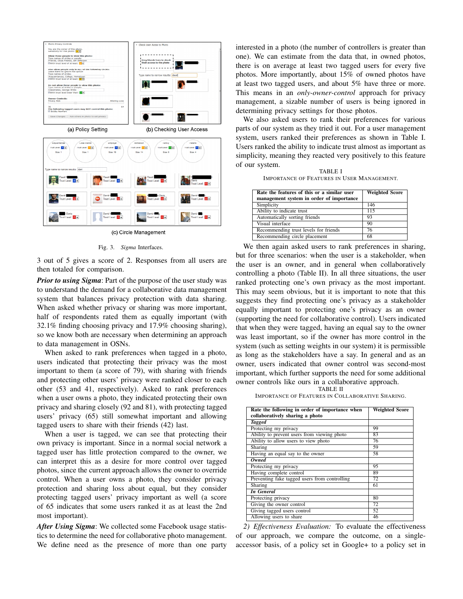

(c) Circle Management

Fig. 3. *Sigma* Interfaces.

3 out of 5 gives a score of 2. Responses from all users are then totaled for comparison.

*Prior to using Sigma*: Part of the purpose of the user study was to understand the demand for a collaborative data management system that balances privacy protection with data sharing. When asked whether privacy or sharing was more important, half of respondents rated them as equally important (with 32.1% finding choosing privacy and 17.9% choosing sharing), so we know both are necessary when determining an approach to data management in OSNs.

When asked to rank preferences when tagged in a photo, users indicated that protecting their privacy was the most important to them (a score of 79), with sharing with friends and protecting other users' privacy were ranked closer to each other (53 and 41, respectively). Asked to rank preferences when a user owns a photo, they indicated protecting their own privacy and sharing closely (92 and 81), with protecting tagged users' privacy (65) still somewhat important and allowing tagged users to share with their friends (42) last.

When a user is tagged, we can see that protecting their own privacy is important. Since in a normal social network a tagged user has little protection compared to the owner, we can interpret this as a desire for more control over tagged photos, since the current approach allows the owner to override control. When a user owns a photo, they consider privacy protection and sharing loss about equal, but they consider protecting tagged users' privacy important as well (a score of 65 indicates that some users ranked it as at least the 2nd most important).

*After Using Sigma*: We collected some Facebook usage statistics to determine the need for collaborative photo management. We define need as the presence of more than one party interested in a photo (the number of controllers is greater than one). We can estimate from the data that, in owned photos, there is on average at least two tagged users for every five photos. More importantly, about 15% of owned photos have at least two tagged users, and about 5% have three or more. This means in an *only-owner-control* approach for privacy management, a sizable number of users is being ignored in determining privacy settings for those photos.

We also asked users to rank their preferences for various parts of our system as they tried it out. For a user management system, users ranked their preferences as shown in Table I. Users ranked the ability to indicate trust almost as important as simplicity, meaning they reacted very positively to this feature of our system.

TABLE I IMPORTANCE OF FEATURES IN USER MANAGEMENT.

| Rate the features of this or a similar user | <b>Weighted Score</b> |
|---------------------------------------------|-----------------------|
| management system in order of importance    |                       |
| Simplicity                                  | 146                   |
| Ability to indicate trust                   | 115                   |
| Automatically sorting friends               | 93                    |
| Visual interface                            | 90                    |
| Recommending trust levels for friends       | 76                    |
| Recommending circle placement               | 68                    |

We then again asked users to rank preferences in sharing, but for three scenarios: when the user is a stakeholder, when the user is an owner, and in general when collaboratively controlling a photo (Table II). In all three situations, the user ranked protecting one's own privacy as the most important. This may seem obvious, but it is important to note that this suggests they find protecting one's privacy as a stakeholder equally important to protecting one's privacy as an owner (supporting the need for collaborative control). Users indicated that when they were tagged, having an equal say to the owner was least important, so if the owner has more control in the system (such as setting weights in our system) it is permissible as long as the stakeholders have a say. In general and as an owner, users indicated that owner control was second-most important, which further supports the need for some additional owner controls like ours in a collaborative approach.

TABLE II

IMPORTANCE OF FEATURES IN COLLABORATIVE SHARING.

| Rate the following in order of importance when | <b>Weighted Score</b> |
|------------------------------------------------|-----------------------|
| collaboratively sharing a photo                |                       |
| <b>Tagged</b>                                  |                       |
| Protecting my privacy                          | 99                    |
| Ability to prevent users from viewing photo    | 83                    |
| Ability to allow users to view photo           | 76                    |
| Sharing                                        | 59                    |
| Having an equal say to the owner               | 58                    |
| Owned                                          |                       |
| Protecting my privacy                          | 95                    |
| Having complete control                        | 89                    |
| Preventing fake tagged users from controlling  | 72                    |
| Sharing                                        | 61                    |
| <b>In General</b>                              |                       |
| Protecting privacy                             | 80                    |
| Giving the owner control                       | 72                    |
| Giving tagged users control                    | 52                    |
| Allowing users to share                        | 46                    |

*2) Effectiveness Evaluation:* To evaluate the effectiveness of our approach, we compare the outcome, on a singleaccessor basis, of a policy set in Google+ to a policy set in